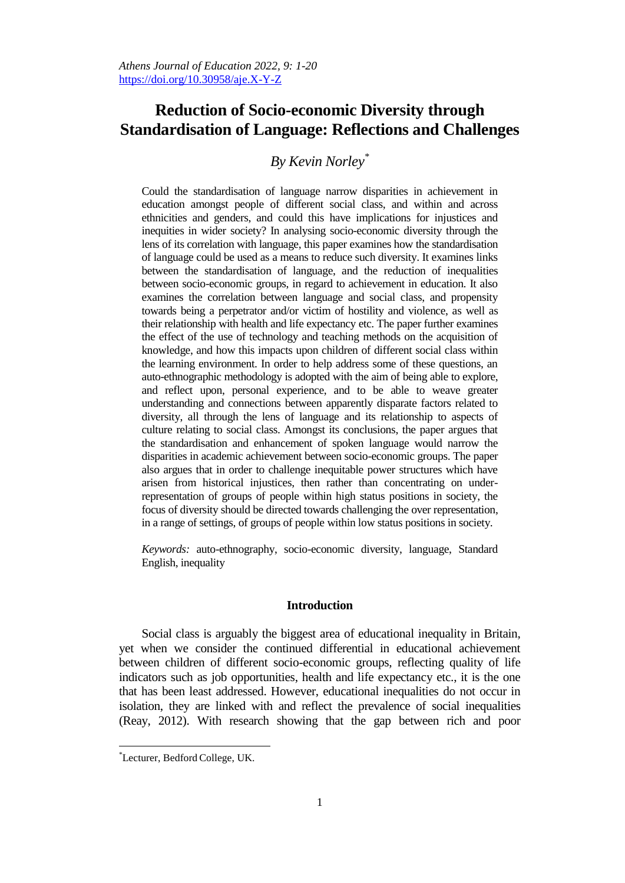# **Reduction of Socio-economic Diversity through Standardisation of Language: Reflections and Challenges**

## *By Kevin Norley\**

Could the standardisation of language narrow disparities in achievement in education amongst people of different social class, and within and across ethnicities and genders, and could this have implications for injustices and inequities in wider society? In analysing socio-economic diversity through the lens of its correlation with language, this paper examines how the standardisation of language could be used as a means to reduce such diversity. It examines links between the standardisation of language, and the reduction of inequalities between socio-economic groups, in regard to achievement in education. It also examines the correlation between language and social class, and propensity towards being a perpetrator and/or victim of hostility and violence, as well as their relationship with health and life expectancy etc. The paper further examines the effect of the use of technology and teaching methods on the acquisition of knowledge, and how this impacts upon children of different social class within the learning environment. In order to help address some of these questions, an auto-ethnographic methodology is adopted with the aim of being able to explore, and reflect upon, personal experience, and to be able to weave greater understanding and connections between apparently disparate factors related to diversity, all through the lens of language and its relationship to aspects of culture relating to social class. Amongst its conclusions, the paper argues that the standardisation and enhancement of spoken language would narrow the disparities in academic achievement between socio-economic groups. The paper also argues that in order to challenge inequitable power structures which have arisen from historical injustices, then rather than concentrating on underrepresentation of groups of people within high status positions in society, the focus of diversity should be directed towards challenging the over representation, in a range of settings, of groups of people within low status positions in society.

*Keywords:* auto-ethnography, socio-economic diversity, language, Standard English, inequality

#### **Introduction**

Social class is arguably the biggest area of educational inequality in Britain, yet when we consider the continued differential in educational achievement between children of different socio-economic groups, reflecting quality of life indicators such as job opportunities, health and life expectancy etc., it is the one that has been least addressed. However, educational inequalities do not occur in isolation, they are linked with and reflect the prevalence of social inequalities (Reay, 2012). With research showing that the gap between rich and poor

 $\overline{a}$ 

<sup>\*</sup>Lecturer, Bedford College, UK.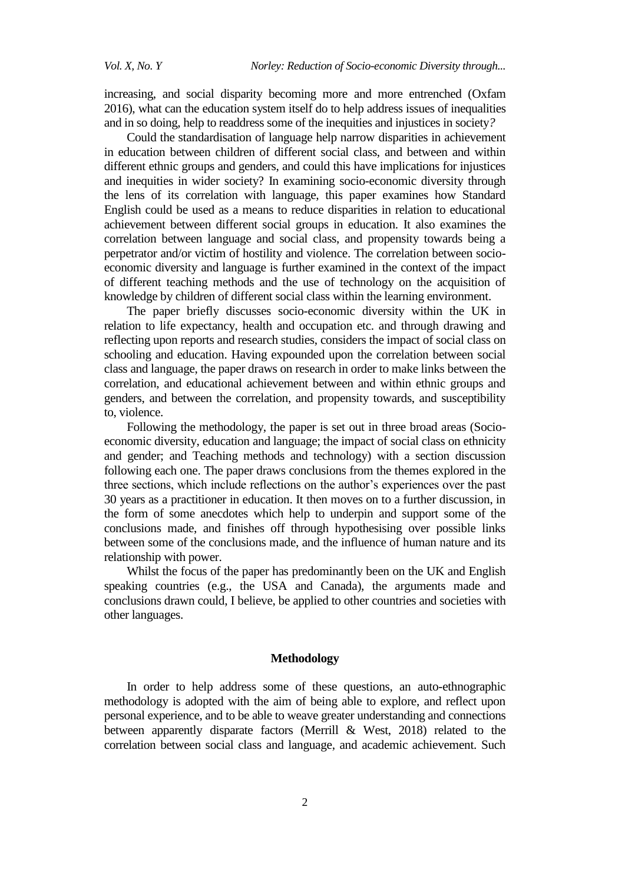increasing, and social disparity becoming more and more entrenched (Oxfam 2016), what can the education system itself do to help address issues of inequalities and in so doing, help to readdress some of the inequities and injustices in society*?*

Could the standardisation of language help narrow disparities in achievement in education between children of different social class, and between and within different ethnic groups and genders, and could this have implications for injustices and inequities in wider society? In examining socio-economic diversity through the lens of its correlation with language, this paper examines how Standard English could be used as a means to reduce disparities in relation to educational achievement between different social groups in education. It also examines the correlation between language and social class, and propensity towards being a perpetrator and/or victim of hostility and violence. The correlation between socioeconomic diversity and language is further examined in the context of the impact of different teaching methods and the use of technology on the acquisition of knowledge by children of different social class within the learning environment.

The paper briefly discusses socio-economic diversity within the UK in relation to life expectancy, health and occupation etc. and through drawing and reflecting upon reports and research studies, considers the impact of social class on schooling and education. Having expounded upon the correlation between social class and language, the paper draws on research in order to make links between the correlation, and educational achievement between and within ethnic groups and genders, and between the correlation, and propensity towards, and susceptibility to, violence.

Following the methodology, the paper is set out in three broad areas (Socioeconomic diversity, education and language; the impact of social class on ethnicity and gender; and Teaching methods and technology) with a section discussion following each one. The paper draws conclusions from the themes explored in the three sections, which include reflections on the author"s experiences over the past 30 years as a practitioner in education. It then moves on to a further discussion, in the form of some anecdotes which help to underpin and support some of the conclusions made, and finishes off through hypothesising over possible links between some of the conclusions made, and the influence of human nature and its relationship with power.

Whilst the focus of the paper has predominantly been on the UK and English speaking countries (e.g., the USA and Canada), the arguments made and conclusions drawn could, I believe, be applied to other countries and societies with other languages.

## **Methodology**

In order to help address some of these questions, an auto-ethnographic methodology is adopted with the aim of being able to explore, and reflect upon personal experience, and to be able to weave greater understanding and connections between apparently disparate factors (Merrill & West, 2018) related to the correlation between social class and language, and academic achievement. Such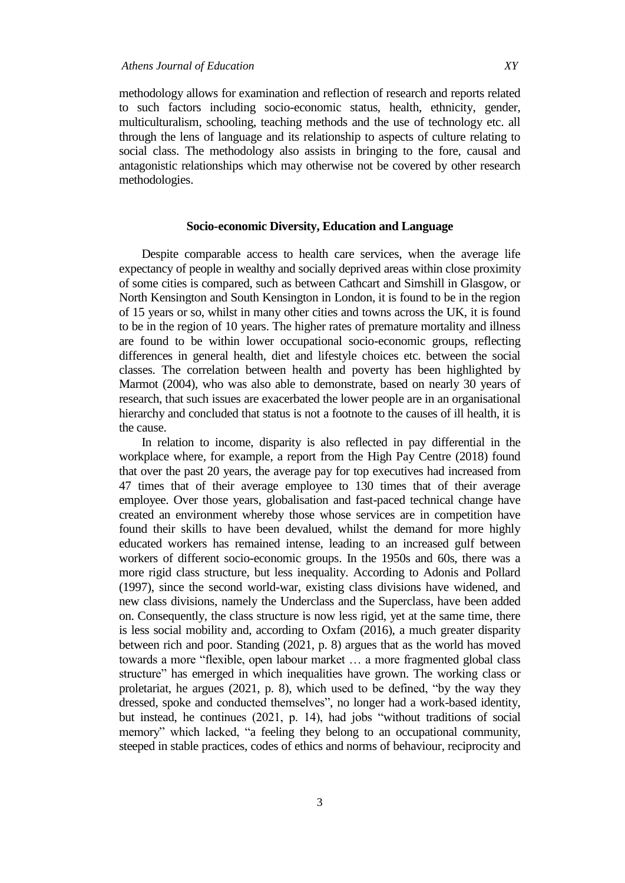methodology allows for examination and reflection of research and reports related to such factors including socio-economic status, health, ethnicity, gender, multiculturalism, schooling, teaching methods and the use of technology etc. all through the lens of language and its relationship to aspects of culture relating to social class. The methodology also assists in bringing to the fore, causal and antagonistic relationships which may otherwise not be covered by other research methodologies.

### **Socio-economic Diversity, Education and Language**

Despite comparable access to health care services, when the average life expectancy of people in wealthy and socially deprived areas within close proximity of some cities is compared, such as between Cathcart and Simshill in Glasgow, or North Kensington and South Kensington in London, it is found to be in the region of 15 years or so, whilst in many other cities and towns across the UK, it is found to be in the region of 10 years. The higher rates of premature mortality and illness are found to be within lower occupational socio-economic groups, reflecting differences in general health, diet and lifestyle choices etc. between the social classes. The correlation between health and poverty has been highlighted by Marmot (2004), who was also able to demonstrate, based on nearly 30 years of research, that such issues are exacerbated the lower people are in an organisational hierarchy and concluded that status is not a footnote to the causes of ill health, it is the cause.

In relation to income, disparity is also reflected in pay differential in the workplace where, for example, a report from the High Pay Centre (2018) found that over the past 20 years, the average pay for top executives had increased from 47 times that of their average employee to 130 times that of their average employee. Over those years, globalisation and fast-paced technical change have created an environment whereby those whose services are in competition have found their skills to have been devalued, whilst the demand for more highly educated workers has remained intense, leading to an increased gulf between workers of different socio-economic groups. In the 1950s and 60s, there was a more rigid class structure, but less inequality. According to Adonis and Pollard (1997), since the second world-war, existing class divisions have widened, and new class divisions, namely the Underclass and the Superclass, have been added on. Consequently, the class structure is now less rigid, yet at the same time, there is less social mobility and, according to Oxfam (2016), a much greater disparity between rich and poor. Standing (2021, p. 8) argues that as the world has moved towards a more "flexible, open labour market … a more fragmented global class structure" has emerged in which inequalities have grown. The working class or proletariat, he argues (2021, p. 8), which used to be defined, "by the way they dressed, spoke and conducted themselves", no longer had a work-based identity, but instead, he continues (2021, p. 14), had jobs "without traditions of social memory" which lacked, "a feeling they belong to an occupational community, steeped in stable practices, codes of ethics and norms of behaviour, reciprocity and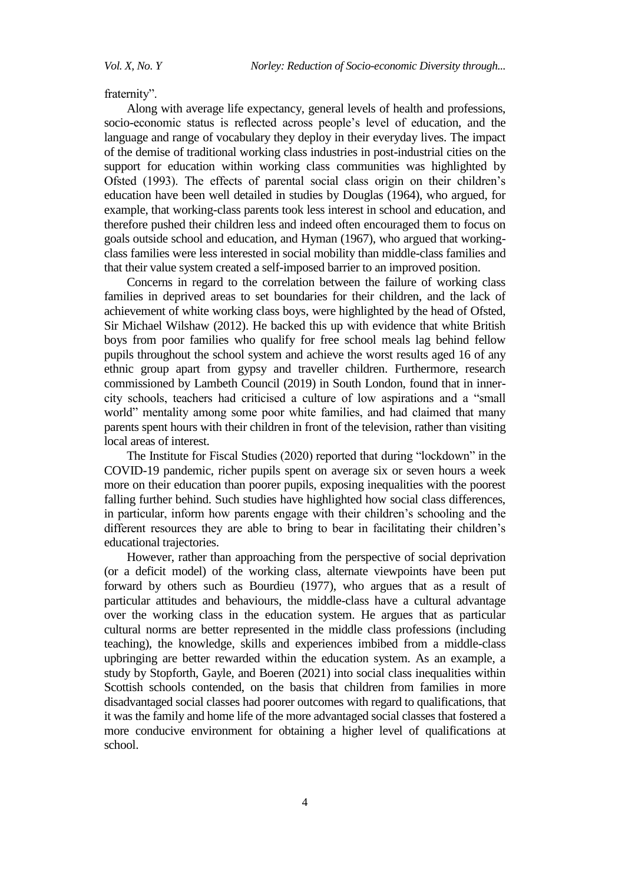fraternity".

Along with average life expectancy, general levels of health and professions, socio-economic status is reflected across people's level of education, and the language and range of vocabulary they deploy in their everyday lives. The impact of the demise of traditional working class industries in post-industrial cities on the support for education within working class communities was highlighted by Ofsted (1993). The effects of parental social class origin on their children"s education have been well detailed in studies by Douglas (1964), who argued, for example, that working-class parents took less interest in school and education, and therefore pushed their children less and indeed often encouraged them to focus on goals outside school and education, and Hyman (1967), who argued that workingclass families were less interested in social mobility than middle-class families and that their value system created a self-imposed barrier to an improved position.

Concerns in regard to the correlation between the failure of working class families in deprived areas to set boundaries for their children, and the lack of achievement of white working class boys, were highlighted by the head of Ofsted, Sir Michael Wilshaw (2012). He backed this up with evidence that white British boys from poor families who qualify for free school meals lag behind fellow pupils throughout the school system and achieve the worst results aged 16 of any ethnic group apart from gypsy and traveller children. Furthermore, research commissioned by Lambeth Council (2019) in South London, found that in innercity schools, teachers had criticised a culture of low aspirations and a "small world" mentality among some poor white families, and had claimed that many parents spent hours with their children in front of the television, rather than visiting local areas of interest.

The Institute for Fiscal Studies (2020) reported that during "lockdown" in the COVID-19 pandemic, richer pupils spent on average six or seven hours a week more on their education than poorer pupils, exposing inequalities with the poorest falling further behind. Such studies have highlighted how social class differences, in particular, inform how parents engage with their children"s schooling and the different resources they are able to bring to bear in facilitating their children's educational trajectories.

However, rather than approaching from the perspective of social deprivation (or a deficit model) of the working class, alternate viewpoints have been put forward by others such as Bourdieu (1977), who argues that as a result of particular attitudes and behaviours, the middle-class have a cultural advantage over the working class in the education system. He argues that as particular cultural norms are better represented in the middle class professions (including teaching), the knowledge, skills and experiences imbibed from a middle-class upbringing are better rewarded within the education system. As an example, a study by Stopforth, Gayle, and Boeren (2021) into social class inequalities within Scottish schools contended, on the basis that children from families in more disadvantaged social classes had poorer outcomes with regard to qualifications, that it was the family and home life of the more advantaged social classes that fostered a more conducive environment for obtaining a higher level of qualifications at school.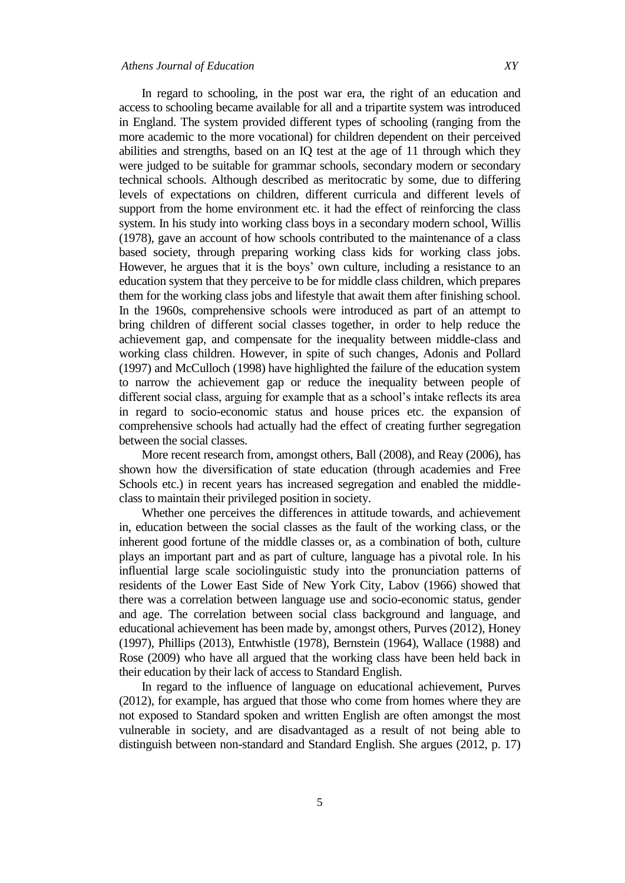In regard to schooling, in the post war era, the right of an education and access to schooling became available for all and a tripartite system was introduced in England. The system provided different types of schooling (ranging from the more academic to the more vocational) for children dependent on their perceived abilities and strengths, based on an IQ test at the age of 11 through which they were judged to be suitable for grammar schools, secondary modern or secondary technical schools. Although described as meritocratic by some, due to differing levels of expectations on children, different curricula and different levels of support from the home environment etc. it had the effect of reinforcing the class system. In his study into working class boys in a secondary modern schoo[l, Willis](http://en.wikipedia.org/wiki/Paul_Willis_(cultural_theorist)) (1978), gave an account of how schools contributed to the maintenance of a class based society, through preparing working class kids for working class jobs. However, he argues that it is the boys" own culture, including a resistance to an education system that they perceive to be for middle class children, which prepares them for the working class jobs and lifestyle that await them after finishing school. In the 1960s, comprehensive schools were introduced as part of an attempt to bring children of different social classes together, in order to help reduce the achievement gap, and compensate for the inequality between middle-class and working class children. However, in spite of such changes, Adonis and Pollard (1997) and McCulloch (1998) have highlighted the failure of the education system to narrow the achievement gap or reduce the inequality between people of different social class, arguing for example that as a school"s intake reflects its area in regard to socio-economic status and house prices etc. the expansion of comprehensive schools had actually had the effect of creating further segregation between the social classes.

More recent research from, amongst others, Ball (2008), and Reay (2006), has shown how the diversification of state education (through academies and Free Schools etc.) in recent years has increased segregation and enabled the middleclass to maintain their privileged position in society.

Whether one perceives the differences in attitude towards, and achievement in, education between the social classes as the fault of the working class, or the inherent good fortune of the middle classes or, as a combination of both, culture plays an important part and as part of culture, language has a pivotal role. In his influential large scale sociolinguistic study into the pronunciation patterns of residents of the Lower East Side of New York City, Labov (1966) showed that there was a correlation between language use and socio-economic status, gender and age. The correlation between social class background and language, and educational achievement has been made by, amongst others, Purves (2012), Honey (1997), Phillips (2013), Entwhistle (1978), Bernstein (1964), Wallace (1988) and Rose (2009) who have all argued that the working class have been held back in their education by their lack of access to Standard English.

In regard to the influence of language on educational achievement, Purves (2012), for example, has argued that those who come from homes where they are not exposed to Standard spoken and written English are often amongst the most vulnerable in society, and are disadvantaged as a result of not being able to distinguish between non-standard and Standard English. She argues (2012, p. 17)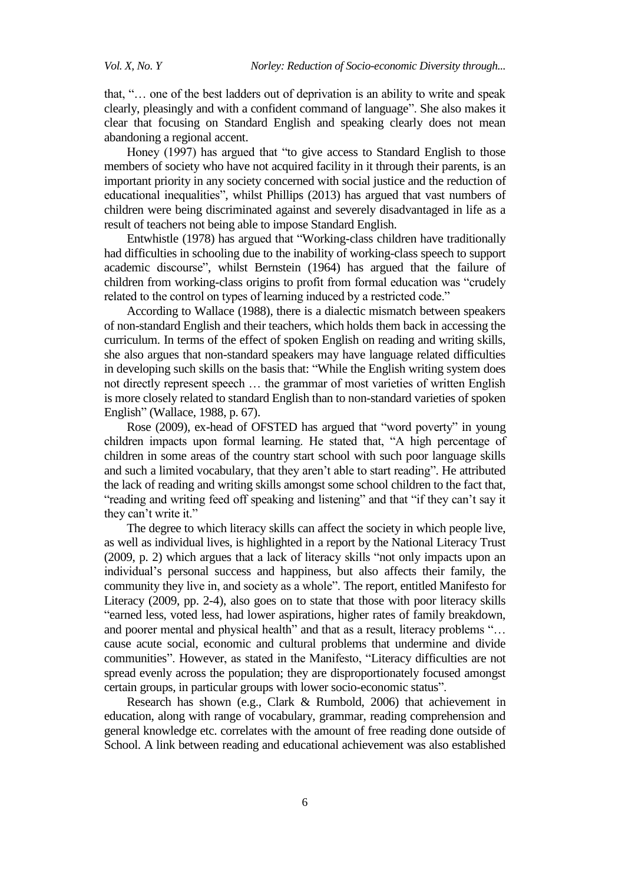that, "… one of the best ladders out of deprivation is an ability to write and speak clearly, pleasingly and with a confident command of language". She also makes it clear that focusing on Standard English and speaking clearly does not mean abandoning a regional accent.

Honey (1997) has argued that "to give access to Standard English to those members of society who have not acquired facility in it through their parents, is an important priority in any society concerned with social justice and the reduction of educational inequalities", whilst Phillips (2013) has argued that vast numbers of children were being discriminated against and severely disadvantaged in life as a result of teachers not being able to impose Standard English.

Entwhistle (1978) has argued that "Working-class children have traditionally had difficulties in schooling due to the inability of working-class speech to support academic discourse", whilst Bernstein (1964) has argued that the failure of children from working-class origins to profit from formal education was "crudely related to the control on types of learning induced by a restricted code."

According to Wallace (1988), there is a dialectic mismatch between speakers of non-standard English and their teachers, which holds them back in accessing the curriculum. In terms of the effect of spoken English on reading and writing skills, she also argues that non-standard speakers may have language related difficulties in developing such skills on the basis that: "While the English writing system does not directly represent speech … the grammar of most varieties of written English is more closely related to standard English than to non-standard varieties of spoken English" (Wallace, 1988, p. 67).

Rose (2009), ex-head of OFSTED has argued that "word poverty" in young children impacts upon formal learning. He stated that, "A high percentage of children in some areas of the country start school with such poor language skills and such a limited vocabulary, that they aren"t able to start reading". He attributed the lack of reading and writing skills amongst some school children to the fact that, "reading and writing feed off speaking and listening" and that "if they can"t say it they can't write it."

The degree to which literacy skills can affect the society in which people live, as well as individual lives, is highlighted in a report by the National Literacy Trust (2009, p. 2) which argues that a lack of literacy skills "not only impacts upon an individual"s personal success and happiness, but also affects their family, the community they live in, and society as a whole". The report, entitled Manifesto for Literacy (2009, pp. 2-4), also goes on to state that those with poor literacy skills "earned less, voted less, had lower aspirations, higher rates of family breakdown, and poorer mental and physical health" and that as a result, literacy problems "... cause acute social, economic and cultural problems that undermine and divide communities". However, as stated in the Manifesto, "Literacy difficulties are not spread evenly across the population; they are disproportionately focused amongst certain groups, in particular groups with lower socio-economic status".

Research has shown (e.g., Clark & Rumbold, 2006) that achievement in education, along with range of vocabulary, grammar, reading comprehension and general knowledge etc. correlates with the amount of free reading done outside of School. A link between reading and educational achievement was also established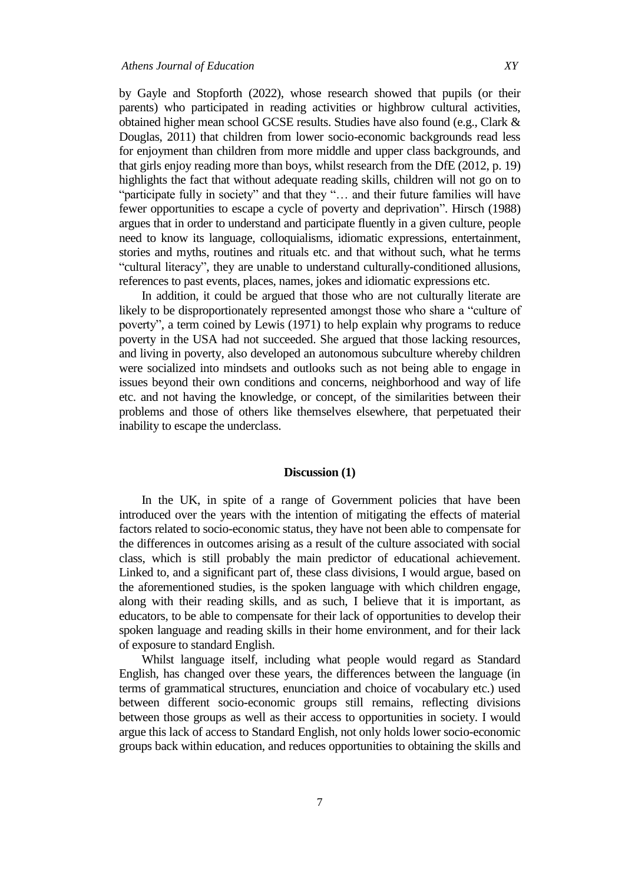by Gayle and Stopforth (2022), whose research showed that pupils (or their parents) who participated in reading activities or highbrow cultural activities, obtained higher mean school GCSE results. Studies have also found (e.g., Clark & Douglas, 2011) that children from lower socio-economic backgrounds read less for enjoyment than children from more middle and upper class backgrounds, and that girls enjoy reading more than boys, whilst research from the DfE (2012, p. 19) highlights the fact that without adequate reading skills, children will not go on to "participate fully in society" and that they "... and their future families will have fewer opportunities to escape a cycle of poverty and deprivation". Hirsch (1988) argues that in order to understand and participate fluently in a given culture, people need to know its language, colloquialisms, idiomatic expressions, entertainment, stories and myths, routines and rituals etc. and that without such, what he terms "cultural literacy", they are unable to understand culturally-conditioned allusions, references to past events, places, names, jokes and idiomatic expressions etc.

In addition, it could be argued that those who are not culturally literate are likely to be disproportionately represented amongst those who share a "culture of poverty", a term coined by Lewis (1971) to help explain why programs to reduce poverty in the USA had not succeeded. She argued that those lacking resources, and living in poverty, also developed an autonomous subculture whereby children were socialized into mindsets and outlooks such as not being able to engage in issues beyond their own conditions and concerns, neighborhood and way of life etc. and not having the knowledge, or concept, of the similarities between their problems and those of others like themselves elsewhere, that perpetuated their inability to escape the underclass.

#### **Discussion (1)**

In the UK, in spite of a range of Government policies that have been introduced over the years with the intention of mitigating the effects of material factors related to socio-economic status, they have not been able to compensate for the differences in outcomes arising as a result of the culture associated with social class, which is still probably the main predictor of educational achievement. Linked to, and a significant part of, these class divisions, I would argue, based on the aforementioned studies, is the spoken language with which children engage, along with their reading skills, and as such, I believe that it is important, as educators, to be able to compensate for their lack of opportunities to develop their spoken language and reading skills in their home environment, and for their lack of exposure to standard English.

Whilst language itself, including what people would regard as Standard English, has changed over these years, the differences between the language (in terms of grammatical structures, enunciation and choice of vocabulary etc.) used between different socio-economic groups still remains, reflecting divisions between those groups as well as their access to opportunities in society. I would argue this lack of access to Standard English, not only holds lower socio-economic groups back within education, and reduces opportunities to obtaining the skills and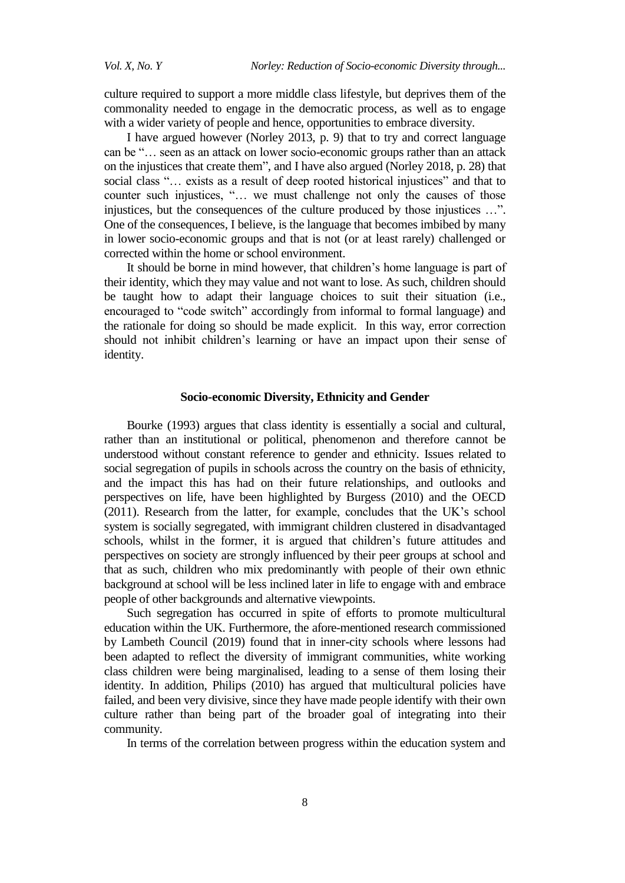culture required to support a more middle class lifestyle, but deprives them of the commonality needed to engage in the democratic process, as well as to engage with a wider variety of people and hence, opportunities to embrace diversity.

I have argued however (Norley 2013, p. 9) that to try and correct language can be "… seen as an attack on lower socio-economic groups rather than an attack on the injustices that create them", and I have also argued (Norley 2018, p. 28) that social class "… exists as a result of deep rooted historical injustices" and that to counter such injustices, "… we must challenge not only the causes of those injustices, but the consequences of the culture produced by those injustices …". One of the consequences, I believe, is the language that becomes imbibed by many in lower socio-economic groups and that is not (or at least rarely) challenged or corrected within the home or school environment.

It should be borne in mind however, that children"s home language is part of their identity, which they may value and not want to lose. As such, children should be taught how to adapt their language choices to suit their situation (i.e., encouraged to "code switch" accordingly from informal to formal language) and the rationale for doing so should be made explicit. In this way, error correction should not inhibit children"s learning or have an impact upon their sense of identity.

### **Socio-economic Diversity, Ethnicity and Gender**

Bourke (1993) argues that class identity is essentially a social and cultural, rather than an institutional or political, phenomenon and therefore cannot be understood without constant reference to gender and ethnicity. Issues related to social segregation of pupils in schools across the country on the basis of ethnicity, and the impact this has had on their future relationships, and outlooks and perspectives on life, have been highlighted by Burgess (2010) and the OECD (2011). Research from the latter, for example, concludes that the UK"s school system is socially segregated, with immigrant children clustered in disadvantaged schools, whilst in the former, it is argued that children"s future attitudes and perspectives on society are strongly influenced by their peer groups at school and that as such, children who mix predominantly with people of their own ethnic background at school will be less inclined later in life to engage with and embrace people of other backgrounds and alternative viewpoints.

Such segregation has occurred in spite of efforts to promote multicultural education within the UK. Furthermore, the afore-mentioned research commissioned by Lambeth Council (2019) found that in inner-city schools where lessons had been adapted to reflect the diversity of immigrant communities, white working class children were being marginalised, leading to a sense of them losing their identity. In addition, Philips (2010) has argued that multicultural policies have failed, and been very divisive, since they have made people identify with their own culture rather than being part of the broader goal of integrating into their community.

In terms of the correlation between progress within the education system and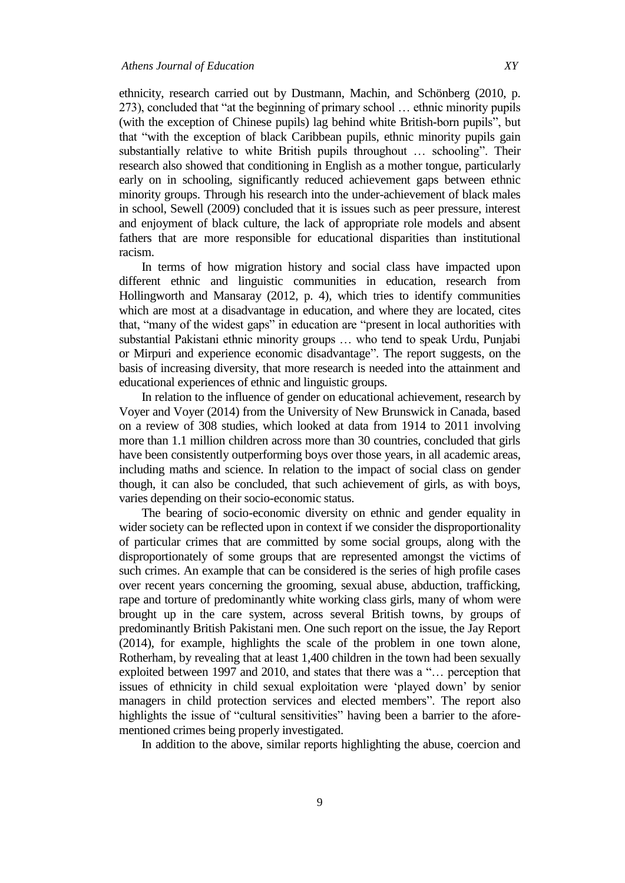ethnicity, research carried out by Dustmann, Machin, and Schönberg (2010, p. 273), concluded that "at the beginning of primary school … ethnic minority pupils (with the exception of Chinese pupils) lag behind white British-born pupils", but that "with the exception of black Caribbean pupils, ethnic minority pupils gain substantially relative to white British pupils throughout … schooling". Their research also showed that conditioning in English as a mother tongue, particularly early on in schooling, significantly reduced achievement gaps between ethnic minority groups. Through his research into the under-achievement of black males in school, Sewell (2009) concluded that it is issues such as peer pressure, interest and enjoyment of black culture, the lack of appropriate role models and absent fathers that are more responsible for educational disparities than institutional racism.

In terms of how migration history and social class have impacted upon different ethnic and linguistic communities in education, research from Hollingworth and Mansaray (2012, p. 4), which tries to identify communities which are most at a disadvantage in education, and where they are located, cites that, "many of the widest gaps" in education are "present in local authorities with substantial Pakistani ethnic minority groups … who tend to speak Urdu, Punjabi or Mirpuri and experience economic disadvantage". The report suggests, on the basis of increasing diversity, that more research is needed into the attainment and educational experiences of ethnic and linguistic groups.

In relation to the influence of gender on educational achievement, research by Voyer and Voyer (2014) from the University of New Brunswick in Canada, based on a review of 308 studies, which looked at data from 1914 to 2011 involving more than 1.1 million children across more than 30 countries, concluded that girls have been consistently outperforming boys over those years, in all academic areas, including maths and science. In relation to the impact of social class on gender though, it can also be concluded, that such achievement of girls, as with boys, varies depending on their socio-economic status.

The bearing of socio-economic diversity on ethnic and gender equality in wider society can be reflected upon in context if we consider the disproportionality of particular crimes that are committed by some social groups, along with the disproportionately of some groups that are represented amongst the victims of such crimes. An example that can be considered is the series of high profile cases over recent years concerning the grooming, sexual abuse, abduction, trafficking, rape and torture of predominantly white working class girls, many of whom were brought up in the care system, across several British towns, by groups of predominantly British Pakistani men. One such report on the issue, the Jay Report (2014), for example, highlights the scale of the problem in one town alone, Rotherham, by revealing that at least 1,400 children in the town had been sexually exploited between 1997 and 2010, and states that there was a "… perception that issues of ethnicity in child sexual exploitation were "played down" by senior managers in child protection services and elected members". The report also highlights the issue of "cultural sensitivities" having been a barrier to the aforementioned crimes being properly investigated.

In addition to the above, similar reports highlighting the abuse, coercion and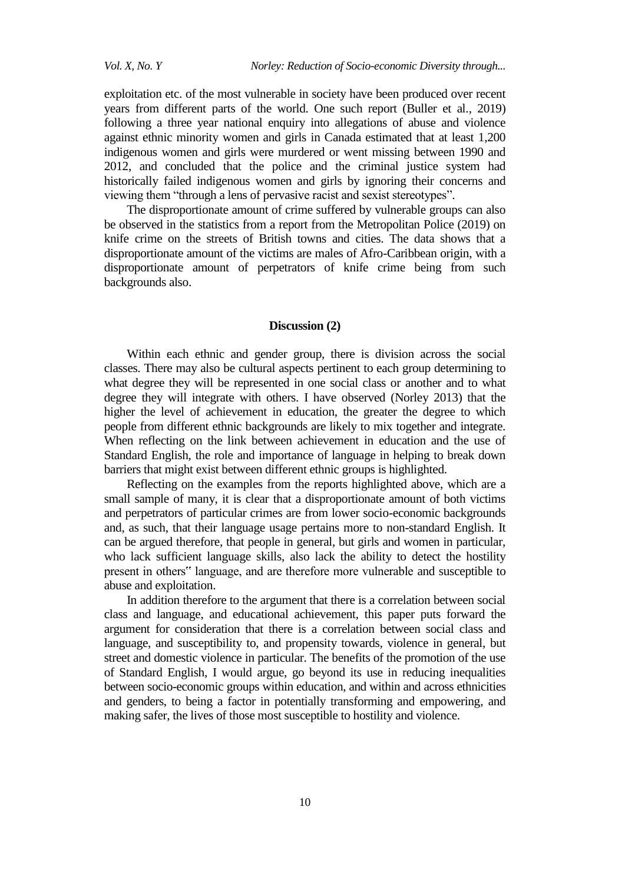exploitation etc. of the most vulnerable in society have been produced over recent years from different parts of the world. One such report (Buller et al., 2019) following a three year national enquiry into allegations of abuse and violence against ethnic minority women and girls in Canada estimated that at least 1,200 indigenous women and girls were murdered or went missing between 1990 and 2012, and concluded that the police and the criminal justice system had historically failed indigenous women and girls by ignoring their concerns and viewing them "through a lens of pervasive racist and sexist stereotypes".

The disproportionate amount of crime suffered by vulnerable groups can also be observed in the statistics from a report from the Metropolitan Police (2019) on knife crime on the streets of British towns and cities. The data shows that a disproportionate amount of the victims are males of Afro-Caribbean origin, with a disproportionate amount of perpetrators of knife crime being from such backgrounds also.

#### **Discussion (2)**

Within each ethnic and gender group, there is division across the social classes. There may also be cultural aspects pertinent to each group determining to what degree they will be represented in one social class or another and to what degree they will integrate with others. I have observed (Norley 2013) that the higher the level of achievement in education, the greater the degree to which people from different ethnic backgrounds are likely to mix together and integrate. When reflecting on the link between achievement in education and the use of Standard English, the role and importance of language in helping to break down barriers that might exist between different ethnic groups is highlighted.

Reflecting on the examples from the reports highlighted above, which are a small sample of many, it is clear that a disproportionate amount of both victims and perpetrators of particular crimes are from lower socio-economic backgrounds and, as such, that their language usage pertains more to non-standard English. It can be argued therefore, that people in general, but girls and women in particular, who lack sufficient language skills, also lack the ability to detect the hostility present in others" language, and are therefore more vulnerable and susceptible to abuse and exploitation.

In addition therefore to the argument that there is a correlation between social class and language, and educational achievement, this paper puts forward the argument for consideration that there is a correlation between social class and language, and susceptibility to, and propensity towards, violence in general, but street and domestic violence in particular. The benefits of the promotion of the use of Standard English, I would argue, go beyond its use in reducing inequalities between socio-economic groups within education, and within and across ethnicities and genders, to being a factor in potentially transforming and empowering, and making safer, the lives of those most susceptible to hostility and violence.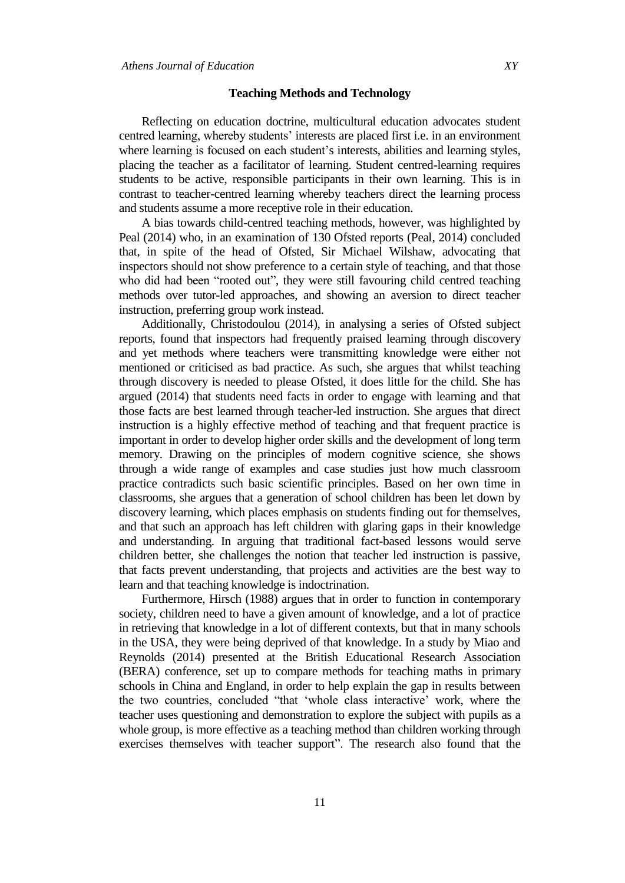#### **Teaching Methods and Technology**

Reflecting on education doctrine, multicultural education advocates student centred learning, whereby students" interests are placed first i.e. in an environment where learning is focused on each student"s interests, abilities and learning styles, placing the teacher as a facilitator of learning. Student centred-learning requires students to be active, responsible participants in their own learning. This is in contrast to teacher-centred learning whereby teachers direct the learning process and students assume a more receptive role in their education.

A bias towards child-centred teaching methods, however, was highlighted by Peal (2014) who, in an examination of 130 Ofsted reports (Peal, 2014) concluded that, in spite of the head of Ofsted, Sir Michael Wilshaw, advocating that inspectors should not show preference to a certain style of teaching, and that those who did had been "rooted out", they were still favouring child centred teaching methods over tutor-led approaches, and showing an aversion to direct teacher instruction, preferring group work instead.

Additionally, Christodoulou (2014), in analysing a series of Ofsted subject reports, found that inspectors had frequently praised learning through discovery and yet methods where teachers were transmitting knowledge were either not mentioned or criticised as bad practice. As such, she argues that whilst teaching through discovery is needed to please Ofsted, it does little for the child. She has argued (2014) that students need facts in order to engage with learning and that those facts are best learned through teacher-led instruction. She argues that direct instruction is a highly effective method of teaching and that frequent practice is important in order to develop higher order skills and the development of long term memory. Drawing on the principles of modern cognitive science, she shows through a wide range of examples and case studies just how much classroom practice contradicts such basic scientific principles. Based on her own time in classrooms, she argues that a generation of school children has been let down by discovery learning, which places emphasis on students finding out for themselves, and that such an approach has left children with glaring gaps in their knowledge and understanding. In arguing that traditional fact-based lessons would serve children better, she challenges the notion that teacher led instruction is passive, that facts prevent understanding, that projects and activities are the best way to learn and that teaching knowledge is indoctrination.

Furthermore, Hirsch (1988) argues that in order to function in contemporary society, children need to have a given amount of knowledge, and a lot of practice in retrieving that knowledge in a lot of different contexts, but that in many schools in the USA, they were being deprived of that knowledge. In a study by Miao and Reynolds (2014) presented at the British Educational Research Association (BERA) conference, set up to compare methods for teaching maths in primary schools in China and England, in order to help explain the gap in results between the two countries, concluded "that 'whole class interactive' work, where the teacher uses questioning and demonstration to explore the subject with pupils as a whole group, is more effective as a teaching method than children working through exercises themselves with teacher support". The research also found that the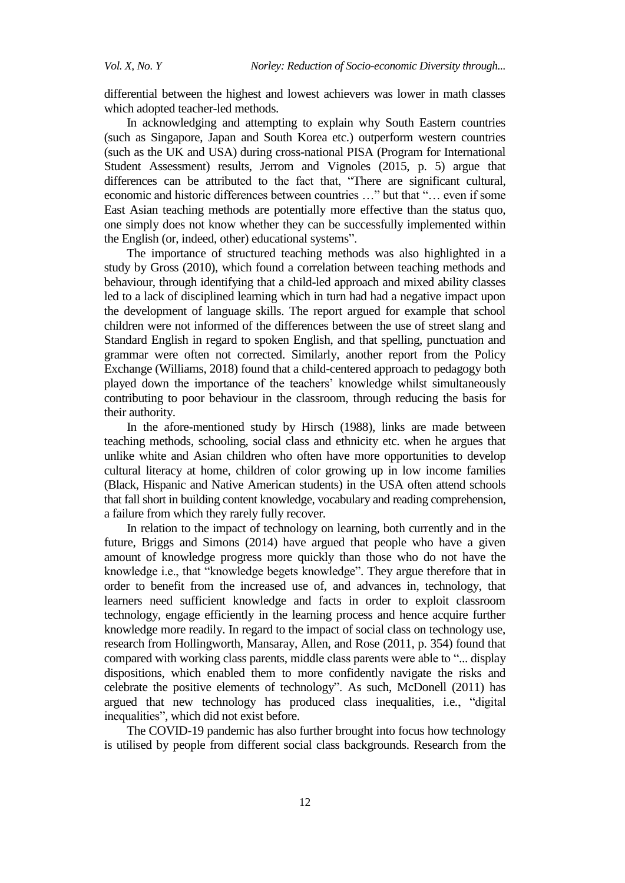differential between the highest and lowest achievers was lower in math classes which adopted teacher-led methods.

In acknowledging and attempting to explain why South Eastern countries (such as Singapore, Japan and South Korea etc.) outperform western countries (such as the UK and USA) during cross-national PISA (Program for International Student Assessment) results, Jerrom and Vignoles (2015, p. 5) argue that differences can be attributed to the fact that, "There are significant cultural, economic and historic differences between countries …" but that "… even if some East Asian teaching methods are potentially more effective than the status quo, one simply does not know whether they can be successfully implemented within the English (or, indeed, other) educational systems".

The importance of structured teaching methods was also highlighted in a study by Gross (2010), which found a correlation between teaching methods and behaviour, through identifying that a child-led approach and mixed ability classes led to a lack of disciplined learning which in turn had had a negative impact upon the development of language skills. The report argued for example that school children were not informed of the differences between the use of street slang and Standard English in regard to spoken English, and that spelling, punctuation and grammar were often not corrected. Similarly, another report from the Policy Exchange (Williams, 2018) found that a child-centered approach to pedagogy both played down the importance of the teachers' knowledge whilst simultaneously contributing to poor behaviour in the classroom, through reducing the basis for their authority.

In the afore-mentioned study by Hirsch (1988), links are made between teaching methods, schooling, social class and ethnicity etc. when he argues that unlike white and Asian children who often have more opportunities to develop cultural literacy at home, children of color growing up in low income families (Black, Hispanic and Native American students) in the USA often attend schools that fall short in building content knowledge, vocabulary and reading comprehension, a failure from which they rarely fully recover.

In relation to the impact of technology on learning, both currently and in the future, Briggs and Simons (2014) have argued that people who have a given amount of knowledge progress more quickly than those who do not have the knowledge i.e., that "knowledge begets knowledge". They argue therefore that in order to benefit from the increased use of, and advances in, technology, that learners need sufficient knowledge and facts in order to exploit classroom technology, engage efficiently in the learning process and hence acquire further knowledge more readily. In regard to the impact of social class on technology use, research from Hollingworth, Mansaray, Allen, and Rose (2011, p. 354) found that compared with working class parents, middle class parents were able to "... display dispositions, which enabled them to more confidently navigate the risks and celebrate the positive elements of technology". As such, McDonell (2011) has argued that new technology has produced class inequalities, i.e., "digital inequalities", which did not exist before.

The COVID-19 pandemic has also further brought into focus how technology is utilised by people from different social class backgrounds. Research from the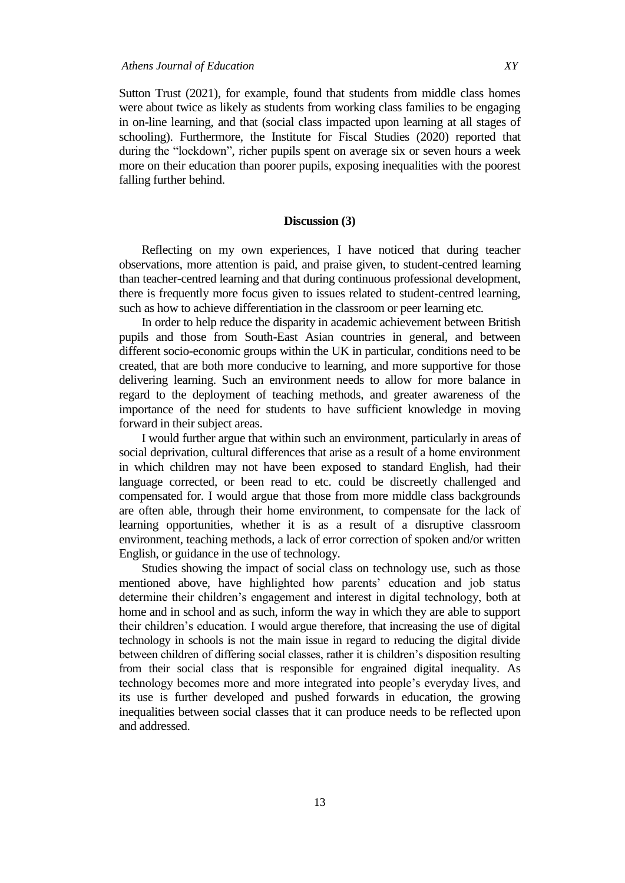Sutton Trust (2021), for example, found that students from middle class homes were about twice as likely as students from working class families to be engaging in on-line learning, and that (social class impacted upon learning at all stages of schooling). Furthermore, the Institute for Fiscal Studies (2020) reported that during the "lockdown", richer pupils spent on average six or seven hours a week more on their education than poorer pupils, exposing inequalities with the poorest falling further behind.

### **Discussion (3)**

Reflecting on my own experiences, I have noticed that during teacher observations, more attention is paid, and praise given, to student-centred learning than teacher-centred learning and that during continuous professional development, there is frequently more focus given to issues related to student-centred learning, such as how to achieve differentiation in the classroom or peer learning etc.

In order to help reduce the disparity in academic achievement between British pupils and those from South-East Asian countries in general, and between different socio-economic groups within the UK in particular, conditions need to be created, that are both more conducive to learning, and more supportive for those delivering learning. Such an environment needs to allow for more balance in regard to the deployment of teaching methods, and greater awareness of the importance of the need for students to have sufficient knowledge in moving forward in their subject areas.

I would further argue that within such an environment, particularly in areas of social deprivation, cultural differences that arise as a result of a home environment in which children may not have been exposed to standard English, had their language corrected, or been read to etc. could be discreetly challenged and compensated for. I would argue that those from more middle class backgrounds are often able, through their home environment, to compensate for the lack of learning opportunities, whether it is as a result of a disruptive classroom environment, teaching methods, a lack of error correction of spoken and/or written English, or guidance in the use of technology.

Studies showing the impact of social class on technology use, such as those mentioned above, have highlighted how parents" education and job status determine their children"s engagement and interest in digital technology, both at home and in school and as such, inform the way in which they are able to support their children"s education. I would argue therefore, that increasing the use of digital technology in schools is not the main issue in regard to reducing the digital divide between children of differing social classes, rather it is children"s disposition resulting from their social class that is responsible for engrained digital inequality. As technology becomes more and more integrated into people"s everyday lives, and its use is further developed and pushed forwards in education, the growing inequalities between social classes that it can produce needs to be reflected upon and addressed.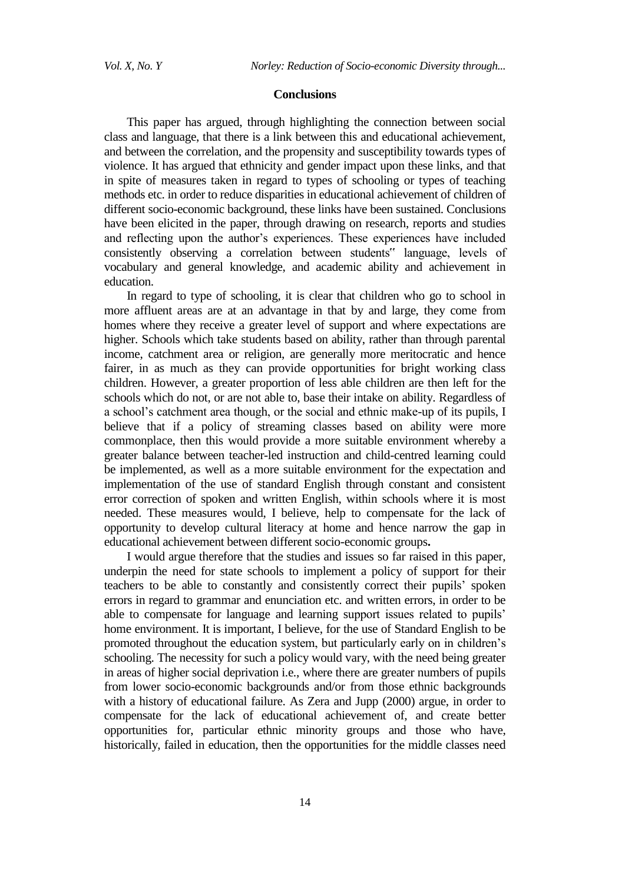#### **Conclusions**

This paper has argued, through highlighting the connection between social class and language, that there is a link between this and educational achievement, and between the correlation, and the propensity and susceptibility towards types of violence. It has argued that ethnicity and gender impact upon these links, and that in spite of measures taken in regard to types of schooling or types of teaching methods etc. in order to reduce disparities in educational achievement of children of different socio-economic background, these links have been sustained. Conclusions have been elicited in the paper, through drawing on research, reports and studies and reflecting upon the author's experiences. These experiences have included consistently observing a correlation between students" language, levels of vocabulary and general knowledge, and academic ability and achievement in education.

In regard to type of schooling, it is clear that children who go to school in more affluent areas are at an advantage in that by and large, they come from homes where they receive a greater level of support and where expectations are higher. Schools which take students based on ability, rather than through parental income, catchment area or religion, are generally more meritocratic and hence fairer, in as much as they can provide opportunities for bright working class children. However, a greater proportion of less able children are then left for the schools which do not, or are not able to, base their intake on ability. Regardless of a school"s catchment area though, or the social and ethnic make-up of its pupils, I believe that if a policy of streaming classes based on ability were more commonplace, then this would provide a more suitable environment whereby a greater balance between teacher-led instruction and child-centred learning could be implemented, as well as a more suitable environment for the expectation and implementation of the use of standard English through constant and consistent error correction of spoken and written English, within schools where it is most needed. These measures would, I believe, help to compensate for the lack of opportunity to develop cultural literacy at home and hence narrow the gap in educational achievement between different socio-economic groups**.**

I would argue therefore that the studies and issues so far raised in this paper, underpin the need for state schools to implement a policy of support for their teachers to be able to constantly and consistently correct their pupils" spoken errors in regard to grammar and enunciation etc. and written errors, in order to be able to compensate for language and learning support issues related to pupils" home environment. It is important, I believe, for the use of Standard English to be promoted throughout the education system, but particularly early on in children"s schooling. The necessity for such a policy would vary, with the need being greater in areas of higher social deprivation i.e., where there are greater numbers of pupils from lower socio-economic backgrounds and/or from those ethnic backgrounds with a history of educational failure. As Zera and Jupp (2000) argue, in order to compensate for the lack of educational achievement of, and create better opportunities for, particular ethnic minority groups and those who have, historically, failed in education, then the opportunities for the middle classes need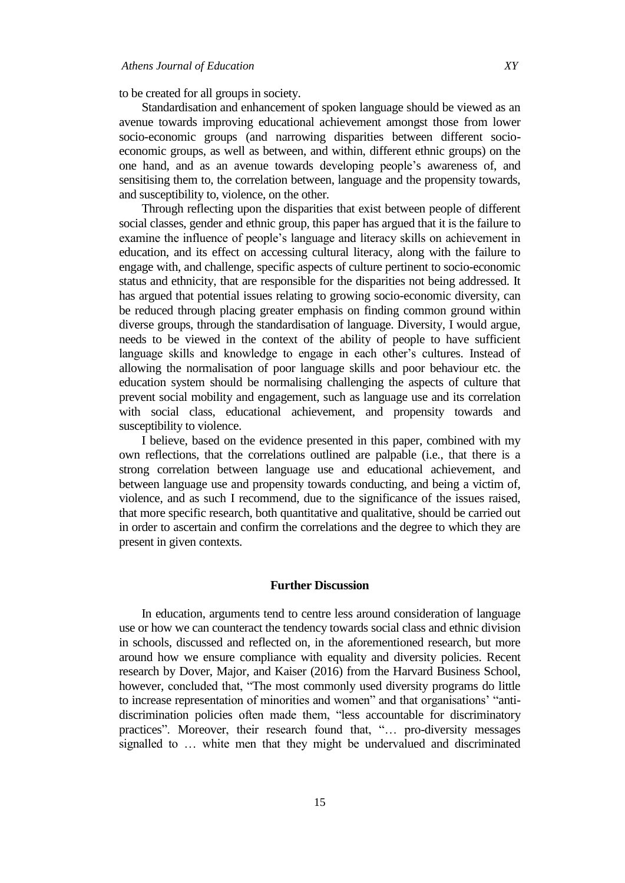to be created for all groups in society.

Standardisation and enhancement of spoken language should be viewed as an avenue towards improving educational achievement amongst those from lower socio-economic groups (and narrowing disparities between different socioeconomic groups, as well as between, and within, different ethnic groups) on the one hand, and as an avenue towards developing people"s awareness of, and sensitising them to, the correlation between, language and the propensity towards, and susceptibility to, violence, on the other.

Through reflecting upon the disparities that exist between people of different social classes, gender and ethnic group, this paper has argued that it is the failure to examine the influence of people"s language and literacy skills on achievement in education, and its effect on accessing cultural literacy, along with the failure to engage with, and challenge, specific aspects of culture pertinent to socio-economic status and ethnicity, that are responsible for the disparities not being addressed. It has argued that potential issues relating to growing socio-economic diversity, can be reduced through placing greater emphasis on finding common ground within diverse groups, through the standardisation of language. Diversity, I would argue, needs to be viewed in the context of the ability of people to have sufficient language skills and knowledge to engage in each other's cultures. Instead of allowing the normalisation of poor language skills and poor behaviour etc. the education system should be normalising challenging the aspects of culture that prevent social mobility and engagement, such as language use and its correlation with social class, educational achievement, and propensity towards and susceptibility to violence.

I believe, based on the evidence presented in this paper, combined with my own reflections, that the correlations outlined are palpable (i.e., that there is a strong correlation between language use and educational achievement, and between language use and propensity towards conducting, and being a victim of, violence, and as such I recommend, due to the significance of the issues raised, that more specific research, both quantitative and qualitative, should be carried out in order to ascertain and confirm the correlations and the degree to which they are present in given contexts.

#### **Further Discussion**

In education, arguments tend to centre less around consideration of language use or how we can counteract the tendency towards social class and ethnic division in schools, discussed and reflected on, in the aforementioned research, but more around how we ensure compliance with equality and diversity policies. Recent research by Dover, Major, and Kaiser (2016) from the Harvard Business School, however, concluded that, "The most commonly used diversity programs do little to increase representation of minorities and women" and that organisations" "antidiscrimination policies often made them, "less accountable for discriminatory practices". Moreover, their research found that, "… pro-diversity messages signalled to … white men that they might be undervalued and discriminated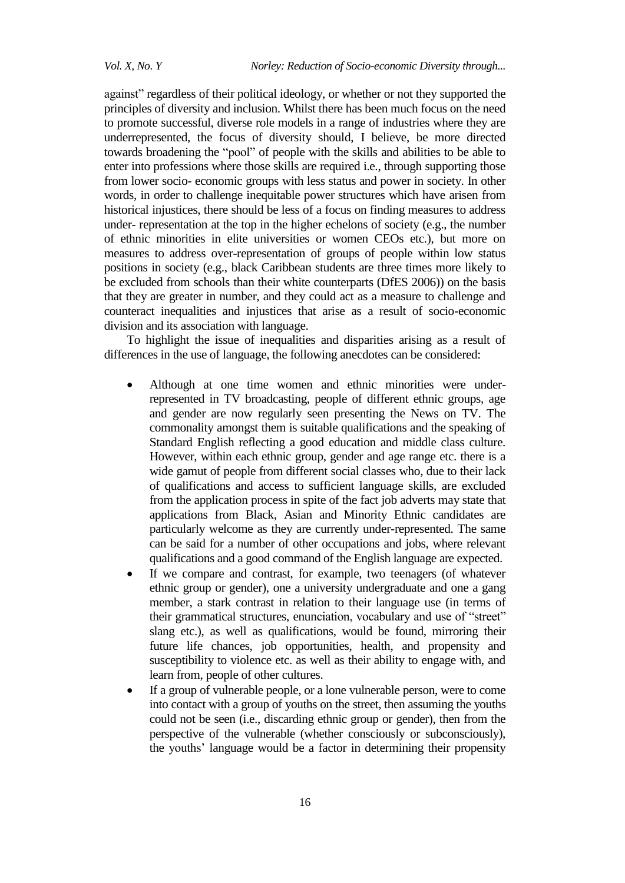against" regardless of their political ideology, or whether or not they supported the principles of diversity and inclusion. Whilst there has been much focus on the need to promote successful, diverse role models in a range of industries where they are underrepresented, the focus of diversity should, I believe, be more directed towards broadening the "pool" of people with the skills and abilities to be able to enter into professions where those skills are required i.e., through supporting those from lower socio- economic groups with less status and power in society. In other words, in order to challenge inequitable power structures which have arisen from historical injustices, there should be less of a focus on finding measures to address under- representation at the top in the higher echelons of society (e.g., the number of ethnic minorities in elite universities or women CEOs etc.), but more on measures to address over-representation of groups of people within low status positions in society (e.g., black Caribbean students are three times more likely to be excluded from schools than their white counterparts (DfES 2006)) on the basis that they are greater in number, and they could act as a measure to challenge and counteract inequalities and injustices that arise as a result of socio-economic division and its association with language.

To highlight the issue of inequalities and disparities arising as a result of differences in the use of language, the following anecdotes can be considered:

- Although at one time women and ethnic minorities were underrepresented in TV broadcasting, people of different ethnic groups, age and gender are now regularly seen presenting the News on TV. The commonality amongst them is suitable qualifications and the speaking of Standard English reflecting a good education and middle class culture. However, within each ethnic group, gender and age range etc. there is a wide gamut of people from different social classes who, due to their lack of qualifications and access to sufficient language skills, are excluded from the application process in spite of the fact job adverts may state that applications from Black, Asian and Minority Ethnic candidates are particularly welcome as they are currently under-represented. The same can be said for a number of other occupations and jobs, where relevant qualifications and a good command of the English language are expected.
- If we compare and contrast, for example, two teenagers (of whatever ethnic group or gender), one a university undergraduate and one a gang member, a stark contrast in relation to their language use (in terms of their grammatical structures, enunciation, vocabulary and use of "street" slang etc.), as well as qualifications, would be found, mirroring their future life chances, job opportunities, health, and propensity and susceptibility to violence etc. as well as their ability to engage with, and learn from, people of other cultures.
- If a group of vulnerable people, or a lone vulnerable person, were to come into contact with a group of youths on the street, then assuming the youths could not be seen (i.e., discarding ethnic group or gender), then from the perspective of the vulnerable (whether consciously or subconsciously), the youths' language would be a factor in determining their propensity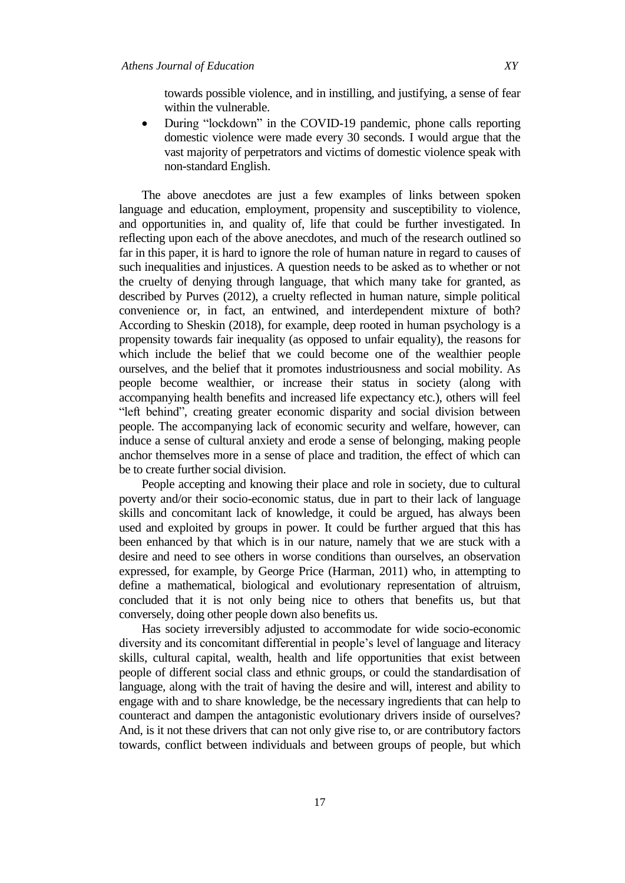towards possible violence, and in instilling, and justifying, a sense of fear within the vulnerable.

• During "lockdown" in the COVID-19 pandemic, phone calls reporting domestic violence were made every 30 seconds. I would argue that the vast majority of perpetrators and victims of domestic violence speak with non-standard English.

The above anecdotes are just a few examples of links between spoken language and education, employment, propensity and susceptibility to violence, and opportunities in, and quality of, life that could be further investigated. In reflecting upon each of the above anecdotes, and much of the research outlined so far in this paper, it is hard to ignore the role of human nature in regard to causes of such inequalities and injustices. A question needs to be asked as to whether or not the cruelty of denying through language, that which many take for granted, as described by Purves (2012), a cruelty reflected in human nature, simple political convenience or, in fact, an entwined, and interdependent mixture of both? According to Sheskin (2018), for example, deep rooted in human psychology is a propensity towards fair inequality (as opposed to unfair equality), the reasons for which include the belief that we could become one of the wealthier people ourselves, and the belief that it promotes industriousness and social mobility. As people become wealthier, or increase their status in society (along with accompanying health benefits and increased life expectancy etc.), others will feel "left behind", creating greater economic disparity and social division between people. The accompanying lack of economic security and welfare, however, can induce a sense of cultural anxiety and erode a sense of belonging, making people anchor themselves more in a sense of place and tradition, the effect of which can be to create further social division.

People accepting and knowing their place and role in society, due to cultural poverty and/or their socio-economic status, due in part to their lack of language skills and concomitant lack of knowledge, it could be argued, has always been used and exploited by groups in power. It could be further argued that this has been enhanced by that which is in our nature, namely that we are stuck with a desire and need to see others in worse conditions than ourselves, an observation expressed, for example, by George Price (Harman, 2011) who, in attempting to define a mathematical, biological and evolutionary representation of altruism, concluded that it is not only being nice to others that benefits us, but that conversely, doing other people down also benefits us.

Has society irreversibly adjusted to accommodate for wide socio-economic diversity and its concomitant differential in people"s level of language and literacy skills, cultural capital, wealth, health and life opportunities that exist between people of different social class and ethnic groups, or could the standardisation of language, along with the trait of having the desire and will, interest and ability to engage with and to share knowledge, be the necessary ingredients that can help to counteract and dampen the antagonistic evolutionary drivers inside of ourselves? And, is it not these drivers that can not only give rise to, or are contributory factors towards, conflict between individuals and between groups of people, but which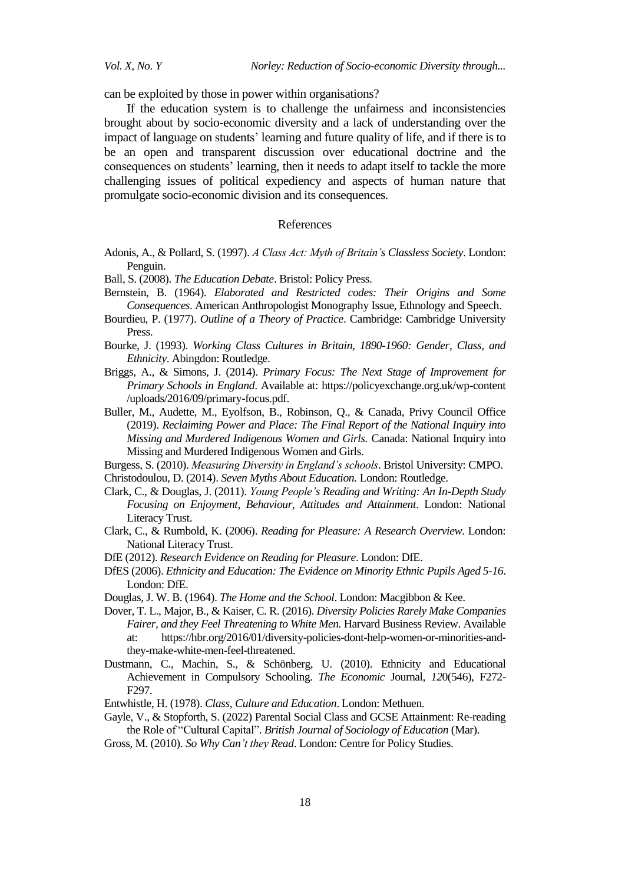*Vol. X, No. Y Norley: Reduction of Socio-economic Diversity through...* 

can be exploited by those in power within organisations?

If the education system is to challenge the unfairness and inconsistencies brought about by socio-economic diversity and a lack of understanding over the impact of language on students' learning and future quality of life, and if there is to be an open and transparent discussion over educational doctrine and the consequences on students" learning, then it needs to adapt itself to tackle the more challenging issues of political expediency and aspects of human nature that promulgate socio-economic division and its consequences.

## References

- Adonis, A., & Pollard, S. (1997). *A Class Act: Myth of Britain's Classless Society*. London: Penguin.
- Ball, S. (2008). *The Education Debate*. Bristol: Policy Press.
- Bernstein, B. (1964). *Elaborated and Restricted codes: Their Origins and Some Consequences*. American Anthropologist Monography Issue, Ethnology and Speech.
- Bourdieu, P. (1977). *Outline of a Theory of Practice*. Cambridge: Cambridge University Press.
- Bourke, J. (1993). *Working Class Cultures in Britain, 1890-1960: Gender, Class, and Ethnicity*. Abingdon: Routledge.
- Briggs, A., & Simons, J. (2014). *Primary Focus: The Next Stage of Improvement for Primary Schools in England*. Available at: [https://policyexchange.org.uk/wp-content](https://policyexchange.org.uk/wp-content/uploads/2016/09/primary-focus.pdf) [/uploads/2016/09/primary-focus.pdf.](https://policyexchange.org.uk/wp-content/uploads/2016/09/primary-focus.pdf)
- Buller, M., Audette, M., Eyolfson, B., Robinson, Q., & Canada, Privy Council Office (2019). *Reclaiming Power and Place: The Final Report of the National Inquiry into Missing and Murdered Indigenous Women and Girls.* Canada: National Inquiry into Missing and Murdered Indigenous Women and Girls.

Burgess, S. (2010). *Measuring Diversity in England's schools*. Bristol University: CMPO. Christodoulou, D. (2014). *Seven Myths About Education.* London: Routledge.

- Clark, C., & Douglas, J. (2011). *Young People's Reading and Writing: An In-Depth Study Focusing on Enjoyment, Behaviour, Attitudes and Attainment*. London: National Literacy Trust.
- Clark, C., & Rumbold, K. (2006). *Reading for Pleasure: A Research Overview*. London: National Literacy Trust.
- DfE (2012). *Research Evidence on Reading for Pleasure*. London: DfE.
- DfES (2006). *Ethnicity and Education: The Evidence on Minority Ethnic Pupils Aged 5-16*. London: DfE.
- Douglas, J. W. B. (1964). *The Home and the School*. London: Macgibbon & Kee.
- Dover, T. L., Major, B., & Kaiser, C. R. (2016). *Diversity Policies Rarely Make Companies Fairer, and they Feel Threatening to White Men.* Harvard Business Review. Available at: [https://hbr.org/2016/01/diversity-policies-dont-help-women-or-minorities-and](https://hbr.org/2016/01/diversity-policies-dont-help-women-or-minorities-and-they-make-white-men-feel-threatened)[they-make-white-men-feel-threatened.](https://hbr.org/2016/01/diversity-policies-dont-help-women-or-minorities-and-they-make-white-men-feel-threatened)
- Dustmann, C., Machin, S., & Schönberg, U. (2010). Ethnicity and Educational Achievement in Compulsory Schooling. *The Economic* Journal, *12*0(546), F272- F297.
- Entwhistle, H. (1978). *Class, Culture and Education*. London: Methuen.
- Gayle, V., & Stopforth, S. (2022) Parental Social Class and GCSE Attainment: Re-reading the Role of "Cultural Capital". *British Journal of Sociology of Education* (Mar).
- Gross, M. (2010). *So Why Can't they Read*. London: Centre for Policy Studies.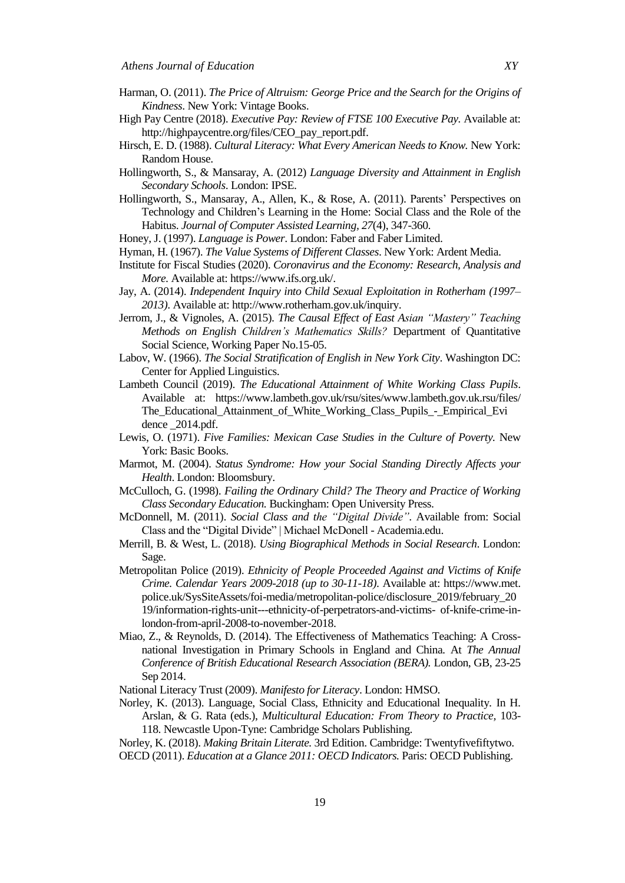- Harman, O. (2011). *The Price of Altruism: George Price and the Search for the Origins of Kindness*. New York: Vintage Books.
- High Pay Centre (2018). *Executive Pay: Review of FTSE 100 Executive Pay.* Available at: [http://highpaycentre.org/files/CEO\\_pay\\_report.pdf.](http://highpaycentre.org/files/CEO_pay_report.pdf)
- [Hirsch, E](http://www.amazon.co.uk/E.-D-Hirsch/e/B001IGOMRC/ref%3Ddp_byline_cont_book_1). D. (1988). *Cultural Literacy: What Every American Needs to Know.* New York: Random House.
- Hollingworth, S., & Mansaray, A. (2012) *Language Diversity and Attainment in English Secondary Schools*. London: IPSE.
- Hollingworth, S., Mansaray, A., Allen, K., & Rose, A. (2011). Parents" Perspectives on Technology and Children"s Learning in the Home: Social Class and the Role of the Habitus. *Journal of Computer Assisted Learning, 27*(4), 347-360.
- Honey, J. (1997). *Language is Power*. London: Faber and Faber Limited.
- Hyman, H. (1967). *The Value Systems of Different Classes*. New York: Ardent Media.
- Institute for Fiscal Studies (2020). *Coronavirus and the Economy: Research, Analysis and More.* Available at: https:/[/www.ifs.org.uk/.](http://www.ifs.org.uk/)
- Jay, A. (2014). *Independent Inquiry into Child Sexual Exploitation in Rotherham (1997– 2013)*. Available at: [http://www.rotherham.gov.uk/inquiry.](http://www.rotherham.gov.uk/inquiry)
- Jerrom, J., & Vignoles, A. (2015). *The Causal Effect of East Asian "Mastery" Teaching Methods on English Children's Mathematics Skills?* Department of Quantitative Social Science, Working Paper No.15-05.
- Labov, W. (1966). *The Social Stratification of English in New York City*. Washington DC: Center for Applied Linguistics.
- Lambeth Council (2019). *The Educational Attainment of White Working Class Pupils*. Available at: https:/[/www.lambeth.gov.uk/rsu/sites/www.lambeth.gov.uk.r](http://www.lambeth.gov.uk/rsu/sites/www.lambeth.gov.uk)su/files/ The\_Educational\_Attainment\_of\_White\_Working\_Class\_Pupils\_-\_Empirical\_Evi dence \_2014.pdf.
- Lewis, O. (1971). *Five Families: Mexican Case Studies in the Culture of Poverty*. New York: Basic Books.
- Marmot, M. (2004). *Status Syndrome: How your Social Standing Directly Affects your Health*. London: Bloomsbury.
- McCulloch, G. (1998). *Failing the Ordinary Child? The Theory and Practice of Working Class Secondary Education.* Buckingham: Open University Press.
- McDonnell, M. (2011). *Social Class and the "Digital Divide"*. Available from: [Social](https://www.academia.edu/2171438/Social_Class_and_the_Digital_Divide_)  [Class and the "Digital Divide" | Michael McDonell -](https://www.academia.edu/2171438/Social_Class_and_the_Digital_Divide_) Academia.edu.
- Merrill, B. & West, L. (2018). *Using Biographical Methods in Social Research*. London: Sage.
- Metropolitan Police (2019). *Ethnicity of People Proceeded Against and Victims of Knife Crime. Calendar Years 2009-2018 (up to 30-11-18)*. Available at: https://www.met. police.uk/SysSiteAssets/foi-media/metropolitan-police/disclosure\_2019/february\_20 19/information-rights-unit---ethnicity-of-perpetrators-and-victims- of-knife-crime-inlondon-from-april-2008-to-november-2018.
- Miao, Z., & Reynolds, D. (2014). The Effectiveness of Mathematics Teaching: A Crossnational Investigation in Primary Schools in England and China*.* At *The Annual Conference of British Educational Research Association (BERA).* London, GB, 23-25 Sep 2014.
- National Literacy Trust (2009). *Manifesto for Literacy*. London: HMSO.
- Norley, K. (2013). Language, Social Class, Ethnicity and Educational Inequality*.* In H. Arslan, & G. Rata (eds.), *Multicultural Education: From Theory to Practice,* 103- 118. Newcastle Upon-Tyne: Cambridge Scholars Publishing.
- Norley, K. (2018). *Making Britain Literate.* 3rd Edition. Cambridge: Twentyfivefiftytwo. OECD (2011). *Education at a Glance 2011: OECD Indicators.* Paris: OECD Publishing.